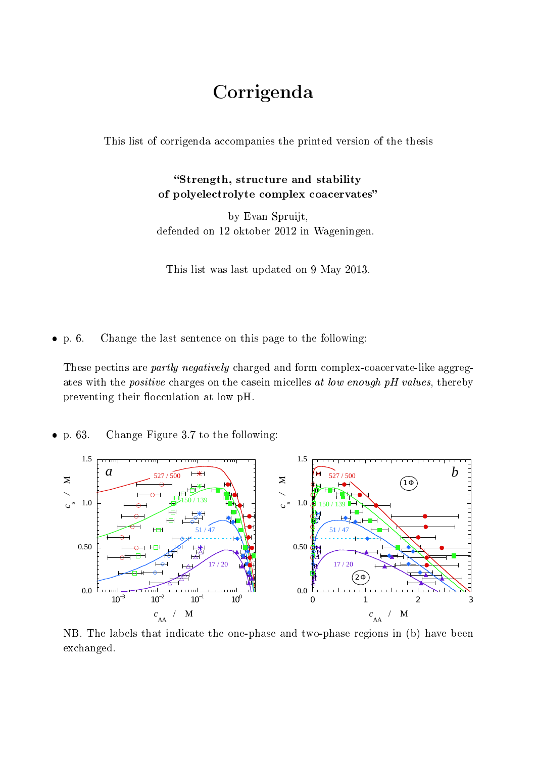## Corrigenda

This list of corrigenda accompanies the printed version of the thesis

## Strength, structure and stability of polyelectrolyte complex coacervates

by Evan Spruijt, defended on 12 oktober 2012 in Wageningen.

This list was last updated on 9 May 2013.

 $\bullet$  p. 6. Change the last sentence on this page to the following:

These pectins are partly negatively charged and form complex-coacervate-like aggregates with the *positive* charges on the casein micelles at low enough pH values, thereby preventing their flocculation at low pH.

 $\bullet$  p. 63. Change Figure 3.7 to the following:



NB. The labels that indicate the one-phase and two-phase regions in (b) have been exchanged.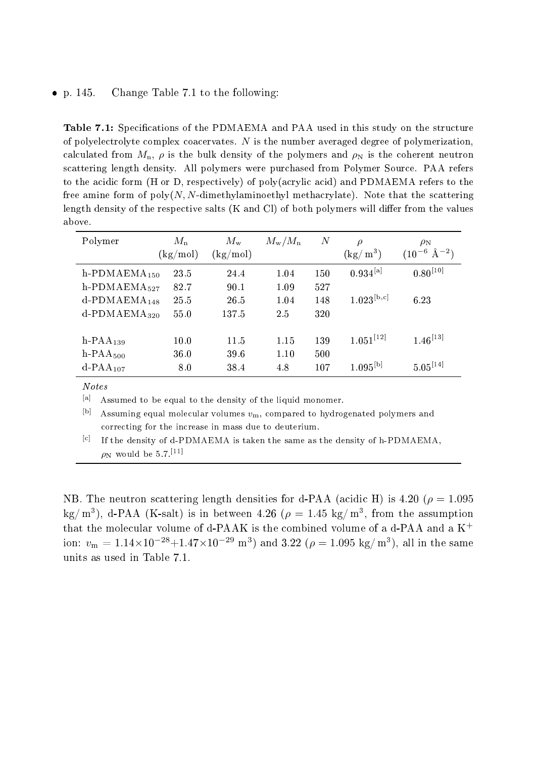## $\bullet$  p. 145. Change Table 7.1 to the following:

Table 7.1: Specifications of the PDMAEMA and PAA used in this study on the structure of polyelectrolyte complex coacervates.  $N$  is the number averaged degree of polymerization, calculated from  $M_n$ ,  $\rho$  is the bulk density of the polymers and  $\rho_N$  is the coherent neutron scattering length density. All polymers were purchased from Polymer Source. PAA refers to the acidic form (H or D, respectively) of poly(acrylic acid) and PDMAEMA refers to the free amine form of  $poly(N, N$ -dimethylaminoethyl methacrylate). Note that the scattering length density of the respective salts  $(K \text{ and } Cl)$  of both polymers will differ from the values above.

| Polymer                     | $M_{\rm n}$<br>(kg/mol) | $M_{\rm w}$<br>$\rm (kg/mol)$ | $M_{\rm w}/M_{\rm n}$ | $\boldsymbol{N}$ | $\rho$<br>$(\mathrm{kg}/\,\mathrm{m}^3)$ | $\rho_N$<br>$(10^{-6} \text{ Å}^{-2})$ |
|-----------------------------|-------------------------|-------------------------------|-----------------------|------------------|------------------------------------------|----------------------------------------|
| h-PDMAEM $A_{150}$          | 23.5                    | 24.4                          | 1.04                  | 150              | $0.934^{[a]}$                            | $0.80^{[10]}$                          |
| $h$ -PDMAEMA $_{527}$       | 82.7                    | 90.1                          | 1.09                  | 527              |                                          |                                        |
| $d$ -PDMAEMA <sub>148</sub> | 25.5                    | 26.5                          | 1.04                  | 148              | $1.023^{\rm [b,c]}$                      | 6.23                                   |
| $d$ -PDMAEMA <sub>320</sub> | 55.0                    | 137.5                         | 2.5                   | 320              |                                          |                                        |
|                             |                         |                               |                       |                  |                                          |                                        |
| $h$ -PAA <sub>139</sub>     | 10.0                    | 11.5                          | 1.15                  | 139              | $1.051^{[12]}$                           | $1.46^{[13]}$                          |
| $h$ -PAA <sub>500</sub>     | 36.0                    | 39.6                          | 1.10                  | 500              |                                          |                                        |
| $d$ -PAA <sub>107</sub>     | 8.0                     | 38.4                          | 4.8                   | 107              | $1.095^{\rm [b]}$                        | $5.05^{[14]}$                          |

Notes

[a] Assumed to be equal to the density of the liquid monomer.

[b] Assuming equal molecular volumes  $v_m$ , compared to hydrogenated polymers and correcting for the increase in mass due to deuterium.

[c] If the density of d-PDMAEMA is taken the same as the density of h-PDMAEMA,  $\rho_N$  would be 5.7.<sup>[11]</sup>

NB. The neutron scattering length densities for d-PAA (acidic H) is 4.20 ( $\rho = 1.095$ kg/m<sup>3</sup>), d-PAA (K-salt) is in between 4.26 ( $\rho = 1.45 \text{ kg/m}^3$ , from the assumption that the molecular volume of d-PAAK is the combined volume of a d-PAA and a  $K^+$ ion:  $v_{\rm m} = 1.14 \times 10^{-28} + 1.47 \times 10^{-29}$  m<sup>3</sup>) and 3.22 ( $\rho = 1.095$  kg/m<sup>3</sup>), all in the same units as used in Table 7.1.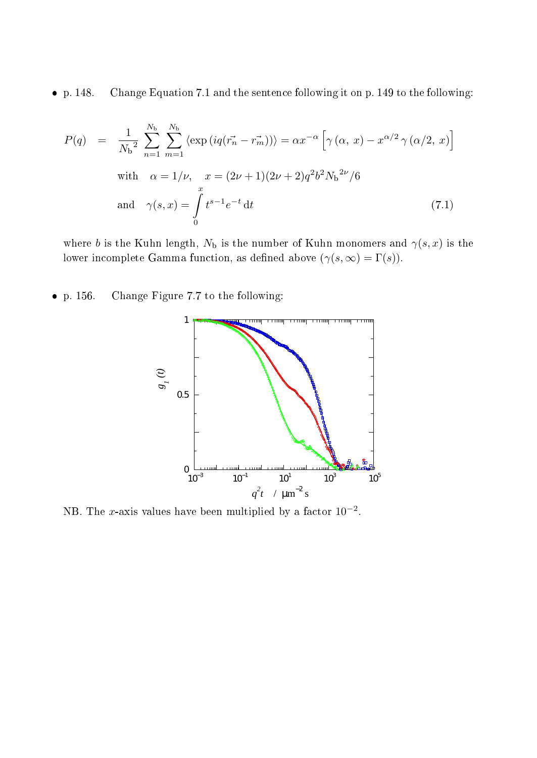$\bullet$  p. 148. p. 148. Change Equation 7.1 and the sentence following it on p. 149 to the following:

$$
P(q) = \frac{1}{N_b^2} \sum_{n=1}^{N_b} \sum_{m=1}^{N_b} \langle \exp\left(iq(\vec{r_n} - \vec{r_m})\right) \rangle = \alpha x^{-\alpha} \left[\gamma(\alpha, x) - x^{\alpha/2} \gamma(\alpha/2, x)\right]
$$
  
with  $\alpha = 1/\nu$ ,  $x = (2\nu + 1)(2\nu + 2)q^2 b^2 N_b^{2\nu}/6$   
and  $\gamma(s, x) = \int_{0}^{x} t^{s-1} e^{-t} dt$  (7.1)

where b is the Kuhn length,  $N_{\rm b}$  is the number of Kuhn monomers and  $\gamma(s, x)$  is the lower incomplete Gamma function, as defined above  $(\gamma(s, \infty) = \Gamma(s)).$ 

 $\bullet$  p. 156. Change Figure 7.7 to the following:



NB. The x-axis values have been multiplied by a factor  $10^{-2}$ .